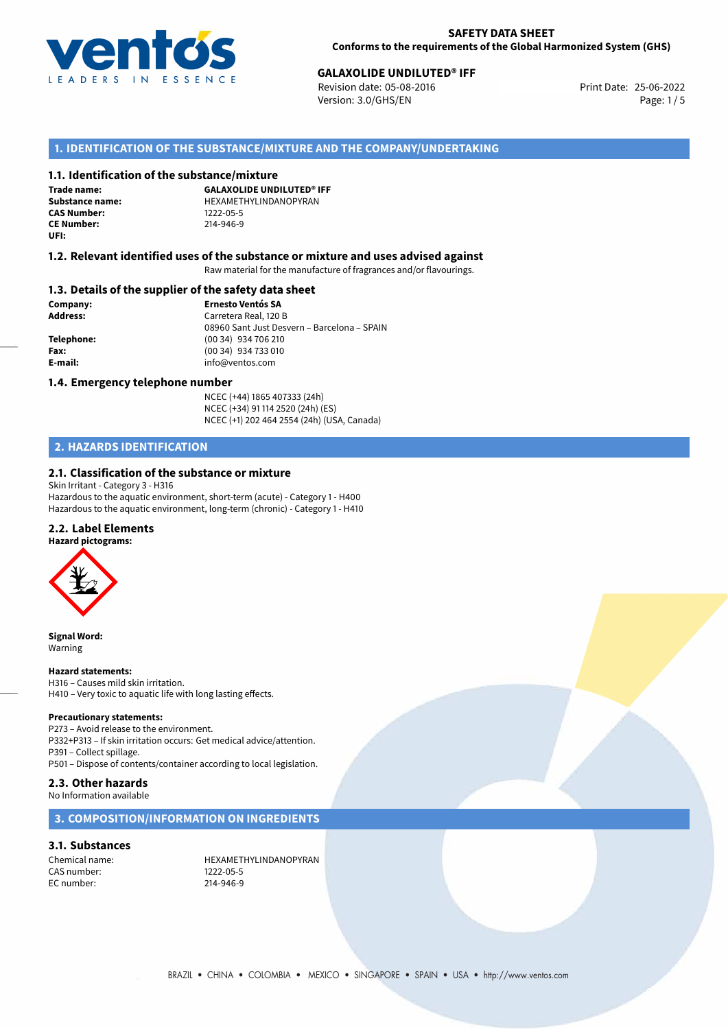

# **GALAXOLIDE UNDILUTED® IFF**<br>
Revision date: 05-08-2016<br> **Print Date: 25-06-2022**

Revision date: 05-08-2016 Version: 3.0/GHS/EN Page: 1/5

## **1. IDENTIFICATION OF THE SUBSTANCE/MIXTURE AND THE COMPANY/UNDERTAKING**

#### **1.1. Identification of the substance/mixture**

**Trade name: CAS Number: CE Number:** 214-946-9 **UFI:**

**GALAXOLIDE UNDILUTED® IFF Substance name:** HEXAMETHYLINDANOPYRAN<br> **CAS Number:** 1222-05-5

#### **1.2. Relevant identified uses of the substance or mixture and uses advised against**

Raw material for the manufacture of fragrances and/or flavourings.

#### **1.3. Details of the supplier of the safety data sheet**

**Company: Ernesto Ventós SA Address:** Carretera Real, 120 B 08960 Sant Just Desvern – Barcelona – SPAIN **Telephone:** (00 34) 934 706 210 **Fax:** (00 34) 934 733 010 **E-mail:** info@ventos.com

#### **1.4. Emergency telephone number**

NCEC (+44) 1865 407333 (24h) NCEC (+34) 91 114 2520 (24h) (ES) NCEC (+1) 202 464 2554 (24h) (USA, Canada)

## **2. HAZARDS IDENTIFICATION**

## **2.1. Classification of the substance or mixture**

Skin Irritant - Category 3 - H316 Hazardous to the aquatic environment, short-term (acute) - Category 1 - H400 Hazardous to the aquatic environment, long-term (chronic) - Category 1 - H410

## **2.2. Label Elements**

**Hazard pictograms:**



**Signal Word:** Warning

#### **Hazard statements:**

H316 – Causes mild skin irritation. H410 – Very toxic to aquatic life with long lasting effects.

#### **Precautionary statements:**

P273 – Avoid release to the environment. P332+P313 – If skin irritation occurs: Get medical advice/attention. P391 – Collect spillage. P501 – Dispose of contents/container according to local legislation.

## **2.3. Other hazards**

No Information available

## **3. COMPOSITION/INFORMATION ON INGREDIENTS**

#### **3.1. Substances**

CAS number: 1222-05-5 EC number: 214-946-9

Chemical name: HEXAMETHYLINDANOPYRAN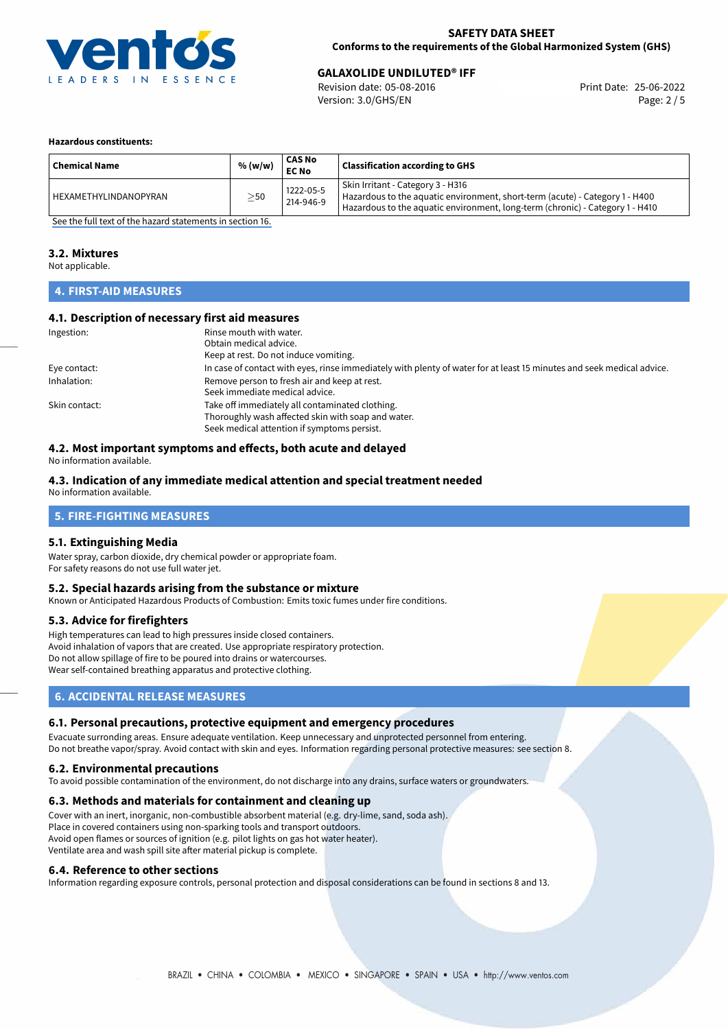

## **SAFETY DATA SHEET Conforms to the requirements of the Global Harmonized System (GHS)**

# **GALAXOLIDE UNDILUTED® IFF**<br>
Revision date: 05-08-2016<br> **Print Date: 25-06-2022**

Revision date: 05-08-2016 Version: 3.0/GHS/EN Page: 2 / 5

#### **Hazardous constituents:**

| <b>Chemical Name</b>  | % (w/w)   | <b>CAS No</b><br><b>EC No</b> | <b>Classification according to GHS</b>                                                                                                                                                             |
|-----------------------|-----------|-------------------------------|----------------------------------------------------------------------------------------------------------------------------------------------------------------------------------------------------|
| HEXAMETHYLINDANOPYRAN | $\geq$ 50 | 1222-05-5<br>214-946-9        | Skin Irritant - Category 3 - H316<br>Hazardous to the aquatic environment, short-term (acute) - Category 1 - H400<br>Hazardous to the aquatic environment, long-term (chronic) - Category 1 - H410 |

[See the full text of the hazard statements in section 16.](#page-4-0)

#### **3.2. Mixtures**

Not applicable.

## **4. FIRST-AID MEASURES**

## **4.1. Description of necessary first aid measures**

| Ingestion:    | Rinse mouth with water.                                                                                               |  |  |
|---------------|-----------------------------------------------------------------------------------------------------------------------|--|--|
|               | Obtain medical advice.                                                                                                |  |  |
|               | Keep at rest. Do not induce vomiting.                                                                                 |  |  |
| Eye contact:  | In case of contact with eyes, rinse immediately with plenty of water for at least 15 minutes and seek medical advice. |  |  |
| Inhalation:   | Remove person to fresh air and keep at rest.                                                                          |  |  |
|               | Seek immediate medical advice.                                                                                        |  |  |
| Skin contact: | Take off immediately all contaminated clothing.                                                                       |  |  |
|               | Thoroughly wash affected skin with soap and water.                                                                    |  |  |
|               | Seek medical attention if symptoms persist.                                                                           |  |  |

## **4.2. Most important symptoms and effects, both acute and delayed**

No information available.

## **4.3. Indication of any immediate medical attention and special treatment needed**

No information available.

## **5. FIRE-FIGHTING MEASURES**

#### **5.1. Extinguishing Media**

Water spray, carbon dioxide, dry chemical powder or appropriate foam. For safety reasons do not use full water jet.

#### **5.2. Special hazards arising from the substance or mixture**

Known or Anticipated Hazardous Products of Combustion: Emits toxic fumes under fire conditions.

#### **5.3. Advice for firefighters**

High temperatures can lead to high pressures inside closed containers. Avoid inhalation of vapors that are created. Use appropriate respiratory protection. Do not allow spillage of fire to be poured into drains or watercourses. Wear self-contained breathing apparatus and protective clothing.

## **6. ACCIDENTAL RELEASE MEASURES**

#### **6.1. Personal precautions, protective equipment and emergency procedures**

Evacuate surronding areas. Ensure adequate ventilation. Keep unnecessary and unprotected personnel from entering. Do not breathe vapor/spray. Avoid contact with skin and eyes. Information regarding personal protective measures: see section 8.

#### **6.2. Environmental precautions**

To avoid possible contamination of the environment, do not discharge into any drains, surface waters or groundwaters.

#### **6.3. Methods and materials for containment and cleaning up**

Cover with an inert, inorganic, non-combustible absorbent material (e.g. dry-lime, sand, soda ash). Place in covered containers using non-sparking tools and transport outdoors. Avoid open flames or sources of ignition (e.g. pilot lights on gas hot water heater). Ventilate area and wash spill site after material pickup is complete.

#### **6.4. Reference to other sections**

Information regarding exposure controls, personal protection and disposal considerations can be found in sections 8 and 13.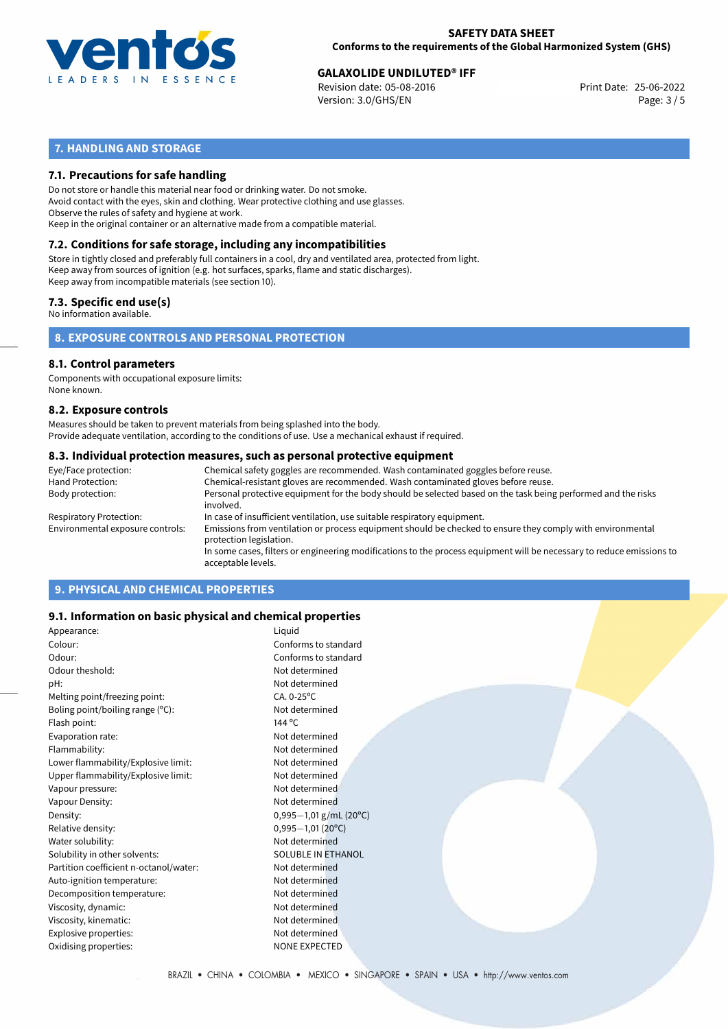

# **GALAXOLIDE UNDILUTED<sup>®</sup> IFF<br>
Revision date: 05-08-2016 CONDITY Revision date: 25-06-2022**

Revision date: 05-08-2016 Version: 3.0/GHS/EN Page: 3 / 5

## **7. HANDLING AND STORAGE**

## **7.1. Precautions for safe handling**

Do not store or handle this material near food or drinking water. Do not smoke. Avoid contact with the eyes, skin and clothing. Wear protective clothing and use glasses. Observe the rules of safety and hygiene at work. Keep in the original container or an alternative made from a compatible material.

# **7.2. Conditions for safe storage, including any incompatibilities**

Store in tightly closed and preferably full containers in a cool, dry and ventilated area, protected from light. Keep away from sources of ignition (e.g. hot surfaces, sparks, flame and static discharges). Keep away from incompatible materials (see section 10).

## **7.3. Specific end use(s)**

No information available.

**8. EXPOSURE CONTROLS AND PERSONAL PROTECTION**

#### **8.1. Control parameters**

Components with occupational exposure limits: None known.

#### **8.2. Exposure controls**

Measures should be taken to prevent materials from being splashed into the body. Provide adequate ventilation, according to the conditions of use. Use a mechanical exhaust if required.

#### **8.3. Individual protection measures, such as personal protective equipment**

| Eye/Face protection:             | Chemical safety goggles are recommended. Wash contaminated goggles before reuse.                                                            |
|----------------------------------|---------------------------------------------------------------------------------------------------------------------------------------------|
| Hand Protection:                 | Chemical-resistant gloves are recommended. Wash contaminated gloves before reuse.                                                           |
| Body protection:                 | Personal protective equipment for the body should be selected based on the task being performed and the risks<br>involved.                  |
| Respiratory Protection:          | In case of insufficient ventilation, use suitable respiratory equipment.                                                                    |
| Environmental exposure controls: | Emissions from ventilation or process equipment should be checked to ensure they comply with environmental<br>protection legislation.       |
|                                  | In some cases, filters or engineering modifications to the process equipment will be necessary to reduce emissions to<br>acceptable levels. |
|                                  |                                                                                                                                             |

## **9. PHYSICAL AND CHEMICAL PROPERTIES**

## **9.1. Information on basic physical and chemical properties**

| Appearance:                            | Liquid                    |
|----------------------------------------|---------------------------|
| Colour:                                | Conforms to standard      |
| Odour:                                 | Conforms to standard      |
| Odour theshold:                        | Not determined            |
| pH:                                    | Not determined            |
| Melting point/freezing point:          | $CA. 0-25$ <sup>o</sup> C |
| Boling point/boiling range (°C):       | Not determined            |
| Flash point:                           | 144 °C                    |
| Evaporation rate:                      | Not determined            |
| Flammability:                          | Not determined            |
| Lower flammability/Explosive limit:    | Not determined            |
| Upper flammability/Explosive limit:    | Not determined            |
| Vapour pressure:                       | Not determined            |
| Vapour Density:                        | Not determined            |
| Density:                               | $0,995-1,01$ g/mL (20°C)  |
| Relative density:                      | $0,995 - 1,01$ (20°C)     |
| Water solubility:                      | Not determined            |
| Solubility in other solvents:          | SOLUBLE IN ETHANOL        |
| Partition coefficient n-octanol/water: | Not determined            |
| Auto-ignition temperature:             | Not determined            |
| Decomposition temperature:             | Not determined            |
| Viscosity, dynamic:                    | Not determined            |
| Viscosity, kinematic:                  | Not determined            |
| Explosive properties:                  | Not determined            |
| Oxidising properties:                  | <b>NONE EXPECTED</b>      |
|                                        |                           |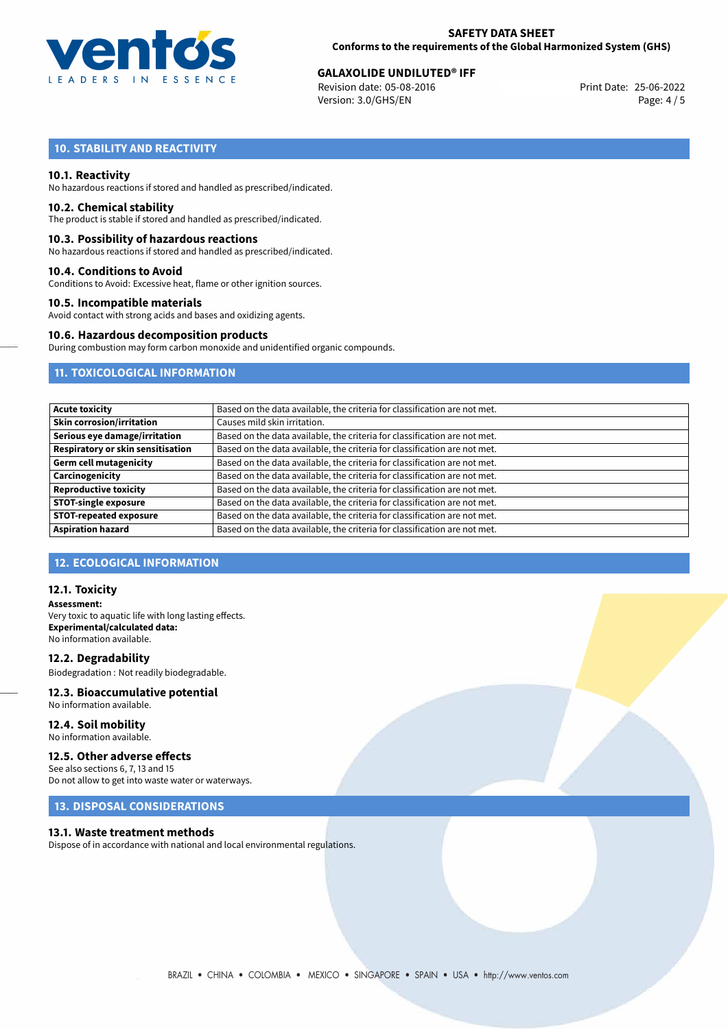

# **GALAXOLIDE UNDILUTED<sup>®</sup> IFF<br>
Revision date: 05-08-2016 CONDITY Revision date: 25-06-2022**

Revision date: 05-08-2016 Version: 3.0/GHS/EN Page: 4 / 5

## **10. STABILITY AND REACTIVITY**

#### **10.1. Reactivity**

No hazardous reactions if stored and handled as prescribed/indicated.

#### **10.2. Chemical stability**

The product is stable if stored and handled as prescribed/indicated.

#### **10.3. Possibility of hazardous reactions**

No hazardous reactions if stored and handled as prescribed/indicated.

#### **10.4. Conditions to Avoid**

Conditions to Avoid: Excessive heat, flame or other ignition sources.

#### **10.5. Incompatible materials**

Avoid contact with strong acids and bases and oxidizing agents.

#### **10.6. Hazardous decomposition products**

During combustion may form carbon monoxide and unidentified organic compounds.

## **11. TOXICOLOGICAL INFORMATION**

| <b>Acute toxicity</b>                    | Based on the data available, the criteria for classification are not met. |
|------------------------------------------|---------------------------------------------------------------------------|
| <b>Skin corrosion/irritation</b>         | Causes mild skin irritation.                                              |
| Serious eye damage/irritation            | Based on the data available, the criteria for classification are not met. |
| <b>Respiratory or skin sensitisation</b> | Based on the data available, the criteria for classification are not met. |
| <b>Germ cell mutagenicity</b>            | Based on the data available, the criteria for classification are not met. |
| Carcinogenicity                          | Based on the data available, the criteria for classification are not met. |
| <b>Reproductive toxicity</b>             | Based on the data available, the criteria for classification are not met. |
| <b>STOT-single exposure</b>              | Based on the data available, the criteria for classification are not met. |
| <b>STOT-repeated exposure</b>            | Based on the data available, the criteria for classification are not met. |
| <b>Aspiration hazard</b>                 | Based on the data available, the criteria for classification are not met. |

## **12. ECOLOGICAL INFORMATION**

#### **12.1. Toxicity**

**Assessment:** Very toxic to aquatic life with long lasting effects. **Experimental/calculated data:** No information available.

**12.2. Degradability** Biodegradation : Not readily biodegradable.

# **12.3. Bioaccumulative potential**

No information available.

**12.4. Soil mobility** No information available.

## **12.5. Other adverse effects**

See also sections 6, 7, 13 and 15 Do not allow to get into waste water or waterways.

## **13. DISPOSAL CONSIDERATIONS**

#### **13.1. Waste treatment methods**

Dispose of in accordance with national and local environmental regulations.